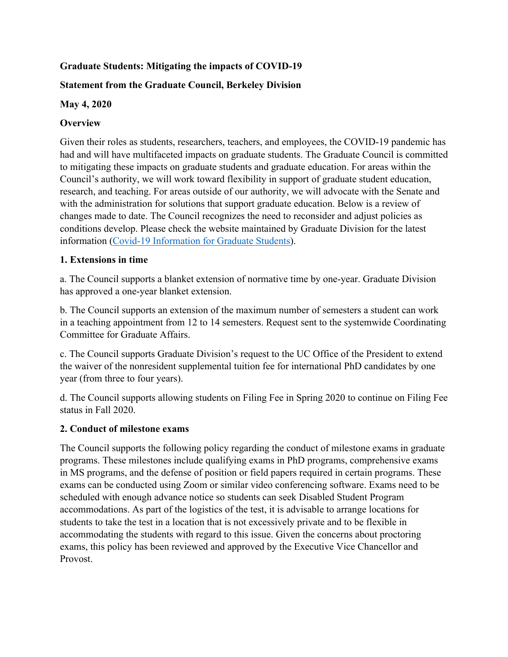# **Graduate Students: Mitigating the impacts of COVID-19**

# **Statement from the Graduate Council, Berkeley Division**

## **May 4, 2020**

# **Overview**

Given their roles as students, researchers, teachers, and employees, the COVID-19 pandemic has had and will have multifaceted impacts on graduate students. The Graduate Council is committed to mitigating these impacts on graduate students and graduate education. For areas within the Council's authority, we will work toward flexibility in support of graduate student education, research, and teaching. For areas outside of our authority, we will advocate with the Senate and with the administration for solutions that support graduate education. Below is a review of changes made to date. The Council recognizes the need to reconsider and adjust policies as conditions develop. Please check the website maintained by Graduate Division for the latest information (Covid-19 Information for Graduate Students).

# **1. Extensions in time**

a. The Council supports a blanket extension of normative time by one-year. Graduate Division has approved a one-year blanket extension.

b. The Council supports an extension of the maximum number of semesters a student can work in a teaching appointment from 12 to 14 semesters. Request sent to the systemwide Coordinating Committee for Graduate Affairs.

c. The Council supports Graduate Division's request to the UC Office of the President to extend the waiver of the nonresident supplemental tuition fee for international PhD candidates by one year (from three to four years).

d. The Council supports allowing students on Filing Fee in Spring 2020 to continue on Filing Fee status in Fall 2020.

## **2. Conduct of milestone exams**

The Council supports the following policy regarding the conduct of milestone exams in graduate programs. These milestones include qualifying exams in PhD programs, comprehensive exams in MS programs, and the defense of position or field papers required in certain programs. These exams can be conducted using Zoom or similar video conferencing software. Exams need to be scheduled with enough advance notice so students can seek Disabled Student Program accommodations. As part of the logistics of the test, it is advisable to arrange locations for students to take the test in a location that is not excessively private and to be flexible in accommodating the students with regard to this issue. Given the concerns about proctoring exams, this policy has been reviewed and approved by the Executive Vice Chancellor and Provost.